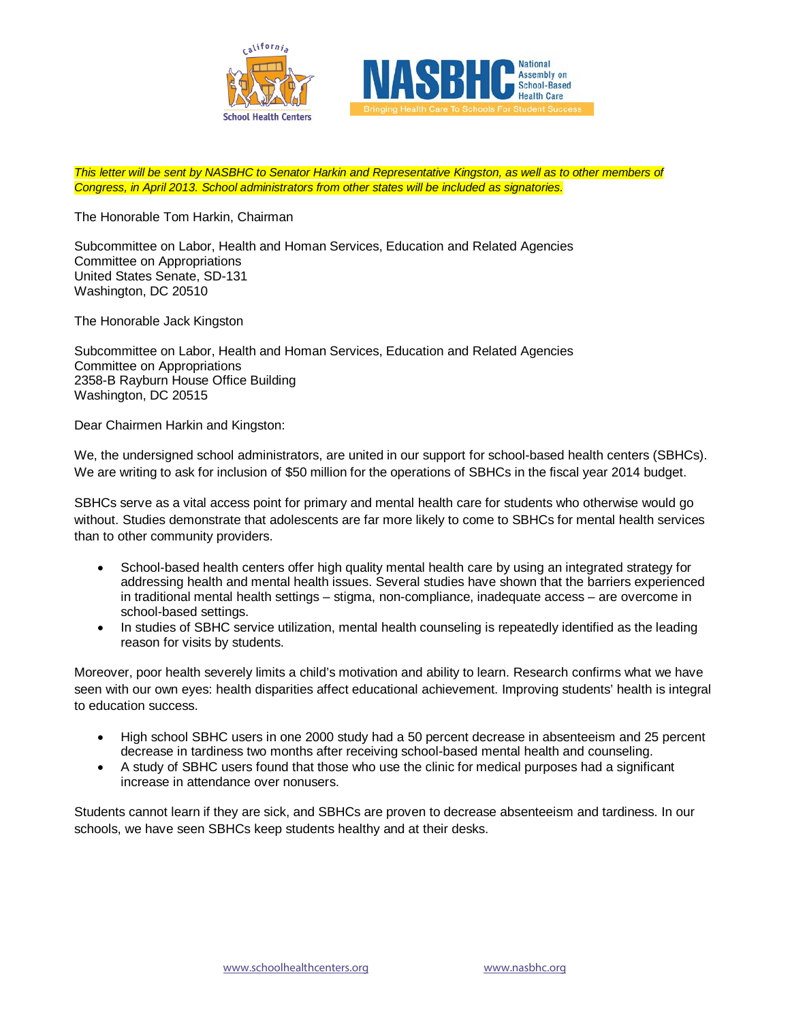



*This letter will be sent by NASBHC to Senator Harkin and Representative Kingston, as well as to other members of Congress, in April 2013. School administrators from other states will be included as signatories.*

The Honorable Tom Harkin, Chairman

Subcommittee on Labor, Health and Homan Services, Education and Related Agencies Committee on Appropriations United States Senate, SD-131 Washington, DC 20510

The Honorable Jack Kingston

Subcommittee on Labor, Health and Homan Services, Education and Related Agencies Committee on Appropriations 2358-B Rayburn House Office Building Washington, DC 20515

Dear Chairmen Harkin and Kingston:

We, the undersigned school administrators, are united in our support for school-based health centers (SBHCs). We are writing to ask for inclusion of \$50 million for the operations of SBHCs in the fiscal year 2014 budget.

SBHCs serve as a vital access point for primary and mental health care for students who otherwise would go without. Studies demonstrate that adolescents are far more likely to come to SBHCs for mental health services than to other community providers.

- School-based health centers offer high quality mental health care by using an integrated strategy for addressing health and mental health issues. Several studies have shown that the barriers experienced in traditional mental health settings – stigma, non-compliance, inadequate access – are overcome in school-based settings.
- In studies of SBHC service utilization, mental health counseling is repeatedly identified as the leading reason for visits by students.

Moreover, poor health severely limits a child's motivation and ability to learn. Research confirms what we have seen with our own eyes: health disparities affect educational achievement. Improving students' health is integral to education success.

- High school SBHC users in one 2000 study had a 50 percent decrease in absenteeism and 25 percent decrease in tardiness two months after receiving school-based mental health and counseling.
- A study of SBHC users found that those who use the clinic for medical purposes had a significant increase in attendance over nonusers.

Students cannot learn if they are sick, and SBHCs are proven to decrease absenteeism and tardiness. In our schools, we have seen SBHCs keep students healthy and at their desks.